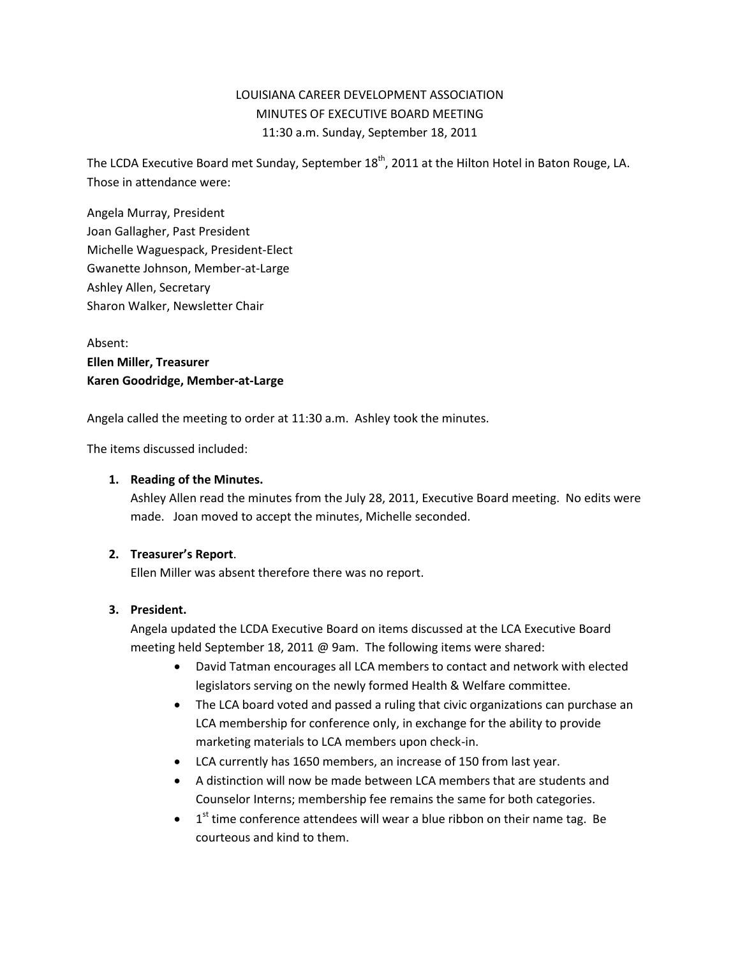# LOUISIANA CAREER DEVELOPMENT ASSOCIATION MINUTES OF EXECUTIVE BOARD MEETING 11:30 a.m. Sunday, September 18, 2011

The LCDA Executive Board met Sunday, September 18<sup>th</sup>, 2011 at the Hilton Hotel in Baton Rouge, LA. Those in attendance were:

Angela Murray, President Joan Gallagher, Past President Michelle Waguespack, President-Elect Gwanette Johnson, Member-at-Large Ashley Allen, Secretary Sharon Walker, Newsletter Chair

Absent: **Ellen Miller, Treasurer Karen Goodridge, Member-at-Large**

Angela called the meeting to order at 11:30 a.m. Ashley took the minutes.

The items discussed included:

#### **1. Reading of the Minutes.**

Ashley Allen read the minutes from the July 28, 2011, Executive Board meeting. No edits were made. Joan moved to accept the minutes, Michelle seconded.

### **2. Treasurer's Report**.

Ellen Miller was absent therefore there was no report.

### **3. President.**

Angela updated the LCDA Executive Board on items discussed at the LCA Executive Board meeting held September 18, 2011 @ 9am. The following items were shared:

- David Tatman encourages all LCA members to contact and network with elected legislators serving on the newly formed Health & Welfare committee.
- The LCA board voted and passed a ruling that civic organizations can purchase an LCA membership for conference only, in exchange for the ability to provide marketing materials to LCA members upon check-in.
- LCA currently has 1650 members, an increase of 150 from last year.
- A distinction will now be made between LCA members that are students and Counselor Interns; membership fee remains the same for both categories.
- $\bullet$  $1<sup>st</sup>$  time conference attendees will wear a blue ribbon on their name tag. Be courteous and kind to them.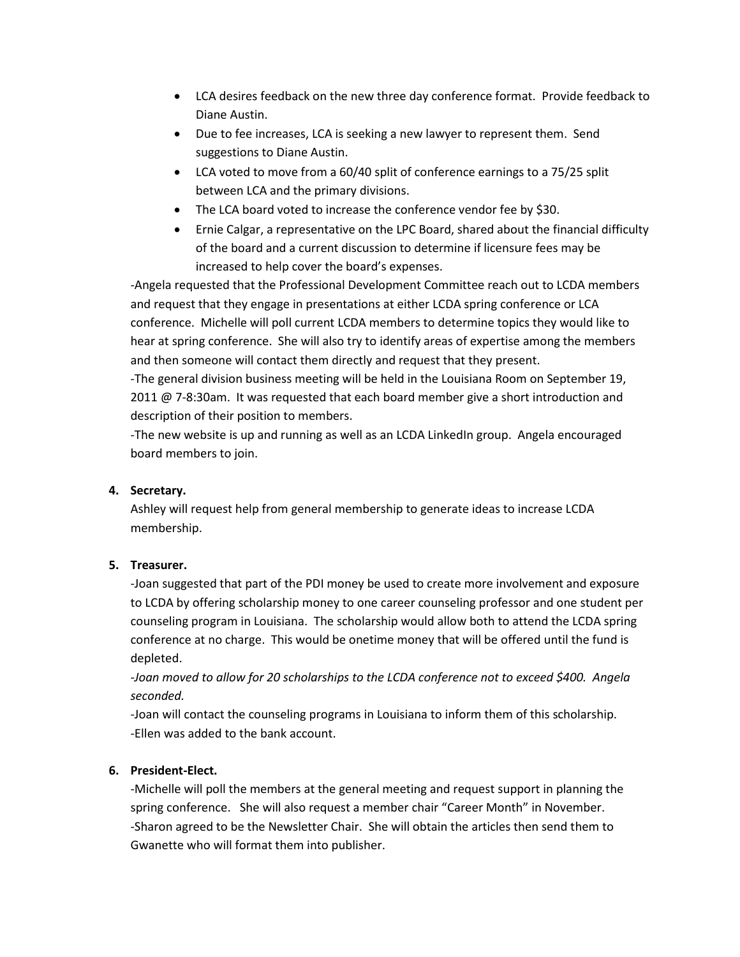- LCA desires feedback on the new three day conference format. Provide feedback to Diane Austin.
- Due to fee increases, LCA is seeking a new lawyer to represent them. Send suggestions to Diane Austin.
- LCA voted to move from a 60/40 split of conference earnings to a 75/25 split between LCA and the primary divisions.
- The LCA board voted to increase the conference vendor fee by \$30.
- Ernie Calgar, a representative on the LPC Board, shared about the financial difficulty of the board and a current discussion to determine if licensure fees may be increased to help cover the board's expenses.

-Angela requested that the Professional Development Committee reach out to LCDA members and request that they engage in presentations at either LCDA spring conference or LCA conference. Michelle will poll current LCDA members to determine topics they would like to hear at spring conference. She will also try to identify areas of expertise among the members and then someone will contact them directly and request that they present.

-The general division business meeting will be held in the Louisiana Room on September 19, 2011 @ 7-8:30am. It was requested that each board member give a short introduction and description of their position to members.

-The new website is up and running as well as an LCDA LinkedIn group. Angela encouraged board members to join.

## **4. Secretary.**

Ashley will request help from general membership to generate ideas to increase LCDA membership.

## **5. Treasurer.**

-Joan suggested that part of the PDI money be used to create more involvement and exposure to LCDA by offering scholarship money to one career counseling professor and one student per counseling program in Louisiana. The scholarship would allow both to attend the LCDA spring conference at no charge. This would be onetime money that will be offered until the fund is depleted.

*-Joan moved to allow for 20 scholarships to the LCDA conference not to exceed \$400. Angela seconded.*

-Joan will contact the counseling programs in Louisiana to inform them of this scholarship. -Ellen was added to the bank account.

## **6. President-Elect.**

-Michelle will poll the members at the general meeting and request support in planning the spring conference. She will also request a member chair "Career Month" in November. -Sharon agreed to be the Newsletter Chair. She will obtain the articles then send them to Gwanette who will format them into publisher.